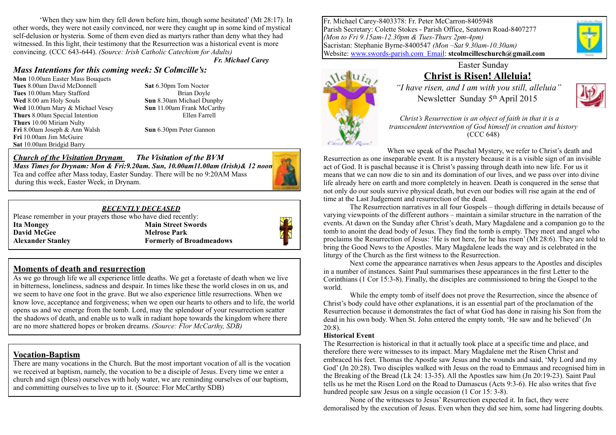'When they saw him they fell down before him, though some hesitated' (Mt 28:17). In other words, they were not easily convinced, nor were they caught up in some kind of mystical self-delusion or hysteria. Some of them even died as martyrs rather than deny what they had witnessed. In this light, their testimony that the Resurrection was a historical event is more convincing. (CCC 643-644). *(Source: Irish Catholic Catechism for Adults)* 

*Fr. Michael Carey*

#### *Mass Intentions for this coming week: St Colmcille's:*

**Mon** 10.00am Easter Mass Bouquets **Tues** 8.00am David McDonnell **Sat** 6.30pm Tom Noctor **Tues** 10.00am Mary Stafford **Brian Doyle Wed** 8.00 am Holy Souls **Sun** 8.30am Michael Dunphy **Wed** 10.00am Mary & Michael Vesey **Sun** 11.00am Frank McCarthy **Thurs** 8.00am Special Intention Ellen Farrell **Thurs** 10.00 Miriam Nulty **Fri** 8.00am Joseph & Ann Walsh **Sun** 6.30pm Peter Gannon **Fri** 10.00am Jim McGuire **Sat** 10.00am Bridgid Barry

*Church of the Visitation Drynam**The Visitation of the BVM Mass Times for Drynam: Mon & Fri:9.20am. Sun, 10.00am11.00am (Irish)& 12 noon* Tea and coffee after Mass today, Easter Sunday. There will be no 9:20AM Mass during this week, Easter Week, in Drynam.



#### *RECENTLY DECEASED*

Please remember in your prayers those who have died recently: **Ita Mongey Main Street Swords David McGee Melrose Park Alexander Stanley Formerly of Broadmeadows** 



### **Moments of death and resurrection**

As we go through life we all experience little deaths. We get a foretaste of death when we live in bitterness, loneliness, sadness and despair. In times like these the world closes in on us, and we seem to have one foot in the grave. But we also experience little resurrections. When we know love, acceptance and forgiveness; when we open our hearts to others and to life, the world opens us and we emerge from the tomb. Lord, may the splendour of your resurrection scatter the shadows of death, and enable us to walk in radiant hope towards the kingdom where there are no more shattered hopes or broken dreams. *(Source: Flor McCarthy, SDB)*

#### **Vocation-Baptism**

There are many vocations in the Church. But the most important vocation of all is the vocation we received at baptism, namely, the vocation to be a disciple of Jesus. Every time we enter a church and sign (bless) ourselves with holy water, we are reminding ourselves of our baptism, and committing ourselves to live up to it. (Source: Flor McCarthy SDB)

Fr. Michael Carey-8403378: Fr. Peter McCarron-8405948 Parish Secretary: Colette Stokes - Parish Office, Seatown Road-8407277 *(Mon to Fri 9.15am-12.30pm & Tues-Thurs 2pm-4pm)* Sacristan: Stephanie Byrne-8400547 *(Mon –Sat 9.30am-10.30am)*  Website: [www.swords-parish.com Email:](http://www.swords-parish.com%20%20email) **stcolmcilleschurch@gmail.com**



# Easter Sunday **Christ is Risen! Alleluia!**

 *"I have risen, and I am with you still, alleluia"*  Newsletter Sunday 5th April 2015



*Christ's Resurrection is an object of faith in that it is a transcendent intervention of God himself in creation and history* (CCC 648)

When we speak of the Paschal Mystery, we refer to Christ's death and Resurrection as one inseparable event. It is a mystery because it is a visible sign of an invisible act of God. It is paschal because it is Christ's passing through death into new life. For us it means that we can now die to sin and its domination of our lives, and we pass over into divine life already here on earth and more completely in heaven. Death is conquered in the sense that not only do our souls survive physical death, but even our bodies will rise again at the end of time at the Last Judgement and resurrection of the dead.

The Resurrection narratives in all four Gospels – though differing in details because of varying viewpoints of the different authors – maintain a similar structure in the narration of the events. At dawn on the Sunday after Christ's death, Mary Magdalene and a companion go to the tomb to anoint the dead body of Jesus. They find the tomb is empty. They meet and angel who proclaims the Resurrection of Jesus: 'He is not here, for he has risen' (Mt 28:6). They are told to bring the Good News to the Apostles. Mary Magdalene leads the way and is celebrated in the liturgy of the Church as the first witness to the Resurrection.

Next come the appearance narratives when Jesus appears to the Apostles and disciples in a number of instances. Saint Paul summarises these appearances in the first Letter to the Corinthians (1 Cor 15:3-8). Finally, the disciples are commissioned to bring the Gospel to the world.

While the empty tomb of itself does not prove the Resurrection, since the absence of Christ's body could have other explanations, it is an essential part of the proclamation of the Resurrection because it demonstrates the fact of what God has done in raising his Son from the dead in his own body. When St. John entered the empty tomb, 'He saw and he believed' (Jn 20:8).

#### **Historical Event**

The Resurrection is historical in that it actually took place at a specific time and place, and therefore there were witnesses to its impact. Mary Magdalene met the Risen Christ and embraced his feet. Thomas the Apostle saw Jesus and the wounds and said, 'My Lord and my God' (Jn 20:28). Two disciples walked with Jesus on the road to Emmaus and recognised him in the Breaking of the Bread (Lk 24: 13-35). All the Apostles saw him (Jn 20:19-23). Saint Paul tells us he met the Risen Lord on the Road to Damascus (Acts 9:3-6). He also writes that five hundred people saw Jesus on a single occasion (1 Cor 15: 3-8).

None of the witnesses to Jesus' Resurrection expected it. In fact, they were demoralised by the execution of Jesus. Even when they did see him, some had lingering doubts.